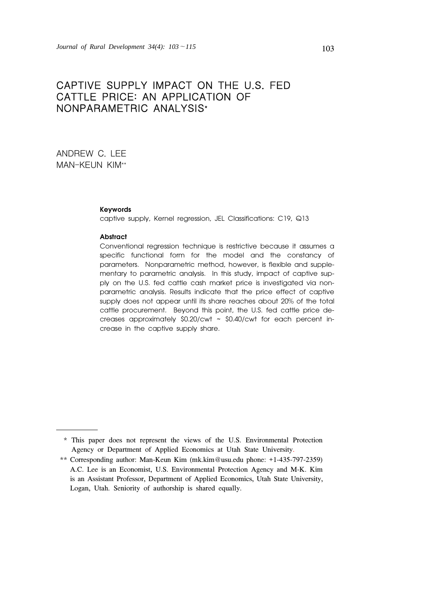# CAPTIVE SUPPLY IMPACT ON THE U.S. FED CATTLE PRICE: AN APPLICATION OF NONPARAMETRIC ANALYSIS\*

ANDREW C. LEE MAN-KEUN KIM\*\*

#### **Keywords**

captive supply, Kernel regression, JEL Classifications: C19, Q13

#### **Abstract**

Conventional regression technique is restrictive because it assumes a specific functional form for the model and the constancy of parameters. Nonparametric method, however, is flexible and supplementary to parametric analysis. In this study, impact of captive supply on the U.S. fed cattle cash market price is investigated via nonparametric analysis. Results indicate that the price effect of captive supply does not appear until its share reaches about 20% of the total cattle procurement. Beyond this point, the U.S. fed cattle price decreases approximately \$0.20/cwt ~ \$0.40/cwt for each percent increase in the captive supply share.

 <sup>\*</sup> This paper does not represent the views of the U.S. Environmental Protection Agency or Department of Applied Economics at Utah State University.

<sup>\*\*</sup> Corresponding author: Man-Keun Kim (mk.kim@usu.edu phone: +1-435-797-2359) A.C. Lee is an Economist, U.S. Environmental Protection Agency and M-K. Kim is an Assistant Professor, Department of Applied Economics, Utah State University, Logan, Utah. Seniority of authorship is shared equally.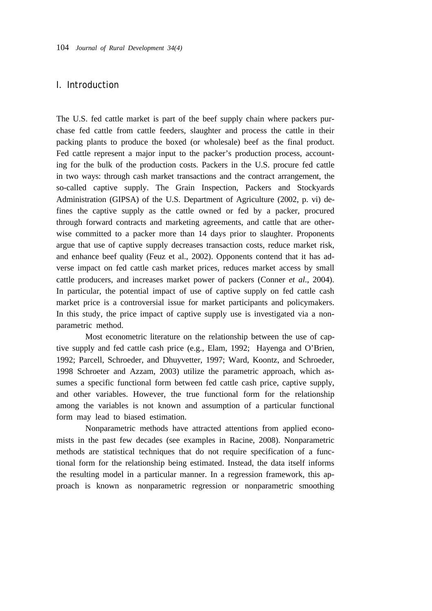# I. Introduction

The U.S. fed cattle market is part of the beef supply chain where packers purchase fed cattle from cattle feeders, slaughter and process the cattle in their packing plants to produce the boxed (or wholesale) beef as the final product. Fed cattle represent a major input to the packer's production process, accounting for the bulk of the production costs. Packers in the U.S. procure fed cattle in two ways: through cash market transactions and the contract arrangement, the so-called captive supply. The Grain Inspection, Packers and Stockyards Administration (GIPSA) of the U.S. Department of Agriculture (2002, p. vi) defines the captive supply as the cattle owned or fed by a packer, procured through forward contracts and marketing agreements, and cattle that are otherwise committed to a packer more than 14 days prior to slaughter. Proponents argue that use of captive supply decreases transaction costs, reduce market risk, and enhance beef quality (Feuz et al., 2002). Opponents contend that it has adverse impact on fed cattle cash market prices, reduces market access by small cattle producers, and increases market power of packers (Conner *et al*., 2004). In particular, the potential impact of use of captive supply on fed cattle cash market price is a controversial issue for market participants and policymakers. In this study, the price impact of captive supply use is investigated via a nonparametric method.

Most econometric literature on the relationship between the use of captive supply and fed cattle cash price (e.g., Elam, 1992; Hayenga and O'Brien, 1992; Parcell, Schroeder, and Dhuyvetter, 1997; Ward, Koontz, and Schroeder, 1998 Schroeter and Azzam, 2003) utilize the parametric approach, which assumes a specific functional form between fed cattle cash price, captive supply, and other variables. However, the true functional form for the relationship among the variables is not known and assumption of a particular functional form may lead to biased estimation.

Nonparametric methods have attracted attentions from applied economists in the past few decades (see examples in Racine, 2008). Nonparametric methods are statistical techniques that do not require specification of a functional form for the relationship being estimated. Instead, the data itself informs the resulting model in a particular manner. In a regression framework, this approach is known as nonparametric regression or nonparametric smoothing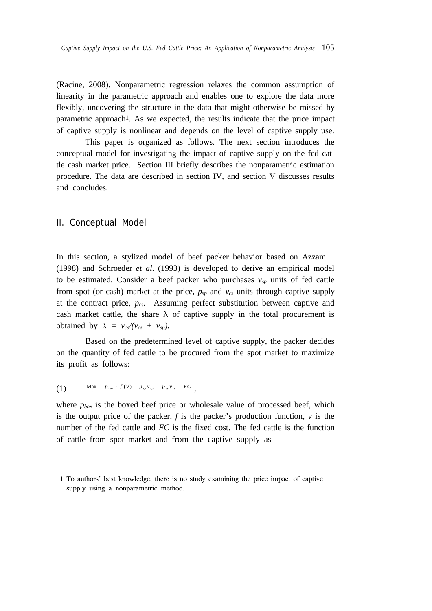(Racine, 2008). Nonparametric regression relaxes the common assumption of linearity in the parametric approach and enables one to explore the data more flexibly, uncovering the structure in the data that might otherwise be missed by parametric approach<sup>1</sup>. As we expected, the results indicate that the price impact of captive supply is nonlinear and depends on the level of captive supply use.

This paper is organized as follows. The next section introduces the conceptual model for investigating the impact of captive supply on the fed cattle cash market price. Section III briefly describes the nonparametric estimation procedure. The data are described in section IV, and section V discusses results and concludes.

## II. Conceptual Model

In this section, a stylized model of beef packer behavior based on Azzam (1998) and Schroeder *et al*. (1993) is developed to derive an empirical model to be estimated. Consider a beef packer who purchases  $v_{sp}$  units of fed cattle from spot (or cash) market at the price,  $p_{sp}$  and  $v_{cs}$  units through captive supply at the contract price, *pcs*. Assuming perfect substitution between captive and cash market cattle, the share  $\lambda$  of captive supply in the total procurement is obtained by  $\lambda = v_{cs}/(v_{cs} + v_{sp})$ .

Based on the predetermined level of captive supply, the packer decides on the quantity of fed cattle to be procured from the spot market to maximize its profit as follows:

(1) 
$$
\max_{v} \quad p_{\text{box}} \cdot f(v) - p_{\text{sp}} v_{\text{sp}} - p_{\text{cs}} v_{\text{cs}} - F C
$$

where  $p_{box}$  is the boxed beef price or wholesale value of processed beef, which is the output price of the packer,  $f$  is the packer's production function,  $v$  is the number of the fed cattle and *FC* is the fixed cost. The fed cattle is the function of cattle from spot market and from the captive supply as

<sup>1</sup> To authors' best knowledge, there is no study examining the price impact of captive supply using a nonparametric method.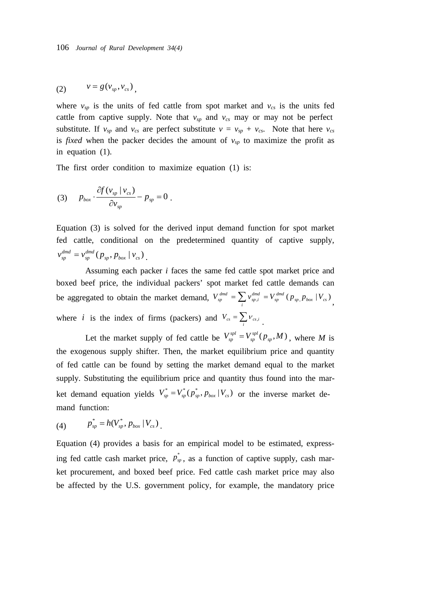$$
(2) \qquad v = g(v_{sp}, v_{cs}),
$$

where  $v_{sp}$  is the units of fed cattle from spot market and  $v_{cs}$  is the units fed cattle from captive supply. Note that  $v_{sp}$  and  $v_{cs}$  may or may not be perfect substitute. If  $v_{sp}$  and  $v_{cs}$  are perfect substitute  $v = v_{sp} + v_{cs}$ . Note that here  $v_{cs}$ is *fixed* when the packer decides the amount of  $v_{sp}$  to maximize the profit as in equation (1).

The first order condition to maximize equation (1) is:

$$
(3) \t P_{box} \cdot \frac{\partial f(v_{sp} \mid v_{cs})}{\partial v_{sp}} - p_{sp} = 0.
$$

Equation (3) is solved for the derived input demand function for spot market fed cattle, conditional on the predetermined quantity of captive supply,  $_{sp}^{dmd}(\left. p_{\textit{sp}}, p_{\textit{box}}\left.\right| \mathcal{v}_{\textit{cs}}\right)$ *sp*  $v_{sp}^{dmd} = v_{sp}^{dmd} (p_{sp}, p_{box} | v_{cs})$ 

Assuming each packer *i* faces the same fed cattle spot market price and boxed beef price, the individual packers' spot market fed cattle demands can be aggregated to obtain the market demand,  $V_{sp}^{dmd} = \sum_{i} v_{sp,i}^{dmd} = V_{sp}^{dmd} (p_{sp}, p_{box} | V_{cs})$  $V_{sp}^{dmd} = \sum_{i} v_{sp,i}^{dmd} = V_{sp}^{dmd} (p_{sp,} p_{box} | V_{cs})$ where *i* is the index of firms (packers) and  $V_{cs} = \sum_i V_{cs,i}$ .

Let the market supply of fed cattle be  $V_{sp}^{spl} = V_{sp}^{spl}(p_{sp}, M)$ *sp*  $V_{sp}^{spl} = V_{sp}^{spl}(p_{sp}, M)$ , where *M* is the exogenous supply shifter. Then, the market equilibrium price and quantity of fed cattle can be found by setting the market demand equal to the market supply. Substituting the equilibrium price and quantity thus found into the market demand equation yields  $V_{sp}^* = V_{sp}^* (p_{sp}^*, p_{box} | V_{cs})$  or the inverse market demand function:

(4) 
$$
p_{sp}^* = h(V_{sp}^*, p_{box} | V_{cs})
$$

Equation (4) provides a basis for an empirical model to be estimated, expressing fed cattle cash market price,  $p_{sp}^*$ , as a function of captive supply, cash market procurement, and boxed beef price. Fed cattle cash market price may also be affected by the U.S. government policy, for example, the mandatory price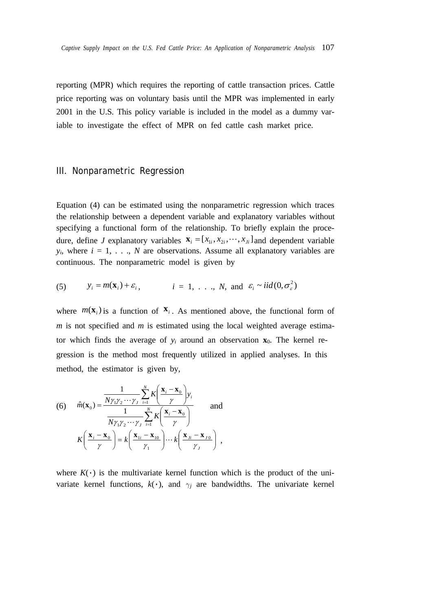reporting (MPR) which requires the reporting of cattle transaction prices. Cattle price reporting was on voluntary basis until the MPR was implemented in early 2001 in the U.S. This policy variable is included in the model as a dummy variable to investigate the effect of MPR on fed cattle cash market price.

### III. Nonparametric Regression

Equation (4) can be estimated using the nonparametric regression which traces the relationship between a dependent variable and explanatory variables without specifying a functional form of the relationship. To briefly explain the procedure, define *J* explanatory variables  $\mathbf{x}_i = [x_{1i}, x_{2i}, \dots, x_{j}$  and dependent variable  $y_i$ , where  $i = 1, \ldots, N$  are observations. Assume all explanatory variables are continuous. The nonparametric model is given by

(5) 
$$
y_i = m(\mathbf{x}_i) + \varepsilon_i
$$
,  $i = 1, ..., N$ , and  $\varepsilon_i \sim \text{iid}(0, \sigma_\varepsilon^2)$ 

where  $m(\mathbf{x}_i)$  is a function of  $\mathbf{x}_i$ . As mentioned above, the functional form of *m* is not specified and *m* is estimated using the local weighted average estimator which finds the average of  $y_i$  around an observation  $x_0$ . The kernel regression is the method most frequently utilized in applied analyses. In this method, the estimator is given by,

(6) 
$$
\hat{m}(\mathbf{x}_0) = \frac{\frac{1}{N\gamma_1\gamma_2\cdots\gamma_j} \sum_{i=1}^N K\left(\frac{\mathbf{x}_i - \mathbf{x}_0}{\gamma}\right) y_i}{\frac{1}{N\gamma_1\gamma_2\cdots\gamma_j} \sum_{i=1}^N K\left(\frac{\mathbf{x}_i - \mathbf{x}_0}{\gamma}\right)}
$$
 and 
$$
K\left(\frac{\mathbf{x}_i - \mathbf{x}_0}{\gamma}\right) = k\left(\frac{\mathbf{x}_{1i} - \mathbf{x}_{10}}{\gamma_1}\right) \cdots k\left(\frac{\mathbf{x}_{j_i} - \mathbf{x}_{j0}}{\gamma_j}\right),
$$

where  $K(\cdot)$  is the multivariate kernel function which is the product of the univariate kernel functions,  $k(\cdot)$ , and  $\gamma_j$  are bandwidths. The univariate kernel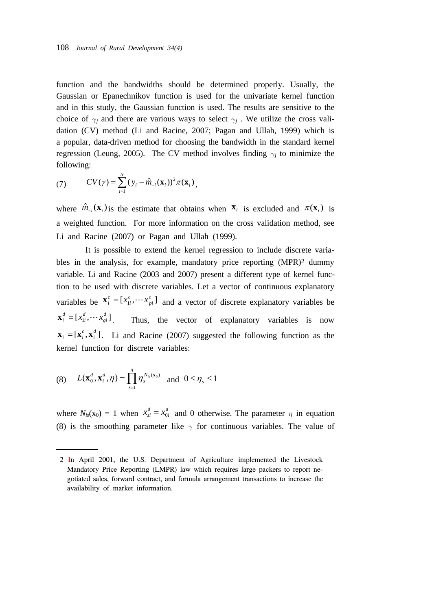function and the bandwidths should be determined properly. Usually, the Gaussian or Epanechnikov function is used for the univariate kernel function and in this study, the Gaussian function is used. The results are sensitive to the choice of  $\gamma_i$  and there are various ways to select  $\gamma_i$ . We utilize the cross validation (CV) method (Li and Racine, 2007; Pagan and Ullah, 1999) which is a popular, data-driven method for choosing the bandwidth in the standard kernel regression (Leung, 2005). The CV method involves finding  $\gamma_j$  to minimize the following:

(7) 
$$
CV(\gamma) = \sum_{i=1}^{N} (y_i - \hat{m}_{-i}(\mathbf{x}_i))^2 \pi(\mathbf{x}_i),
$$

where  $\hat{m}_{-i}(\mathbf{x}_i)$  is the estimate that obtains when  $\mathbf{x}_i$  is excluded and  $\pi(\mathbf{x}_i)$  is a weighted function. For more information on the cross validation method, see Li and Racine (2007) or Pagan and Ullah (1999).

It is possible to extend the kernel regression to include discrete variables in the analysis, for example, mandatory price reporting (MPR)<sup>2</sup> dummy variable. Li and Racine (2003 and 2007) present a different type of kernel function to be used with discrete variables. Let a vector of continuous explanatory variables be  $\mathbf{x}_i^c = [x_{1i}^c, \cdots, x_{pi}^c]$ *pi c i*  $\mathbf{x}_i^c = [x_{1i}^c, \dots, x_{pi}^c]$  and a vector of discrete explanatory variables be  $[x_{1i}^d, \cdots x_{qi}^d]$ *qi d i d* Thus, the vector of explanatory variables is now  $\mathbf{x}_i = [\mathbf{x}_i^c, \mathbf{x}_i^d]$ . Li and Racine (2007) suggested the following function as the kernel function for discrete variables:

(8) 
$$
L(\mathbf{x}_0^d, \mathbf{x}_i^d, \eta) = \prod_{s=1}^q \eta_s^{N_{is}(\mathbf{x}_0)} \text{ and } 0 \leq \eta_s \leq 1
$$

where  $N_{is}(x_0) = 1$  when  $x_{si}^d = x_{0i}^d$  $x_{si}^d = x_{0i}^d$  and 0 otherwise. The parameter  $\eta$  in equation (8) is the smoothing parameter like  $\gamma$  for continuous variables. The value of

<sup>2</sup> In April 2001, the U.S. Department of Agriculture implemented the Livestock Mandatory Price Reporting (LMPR) law which requires large packers to report negotiated sales, forward contract, and formula arrangement transactions to increase the availability of market information.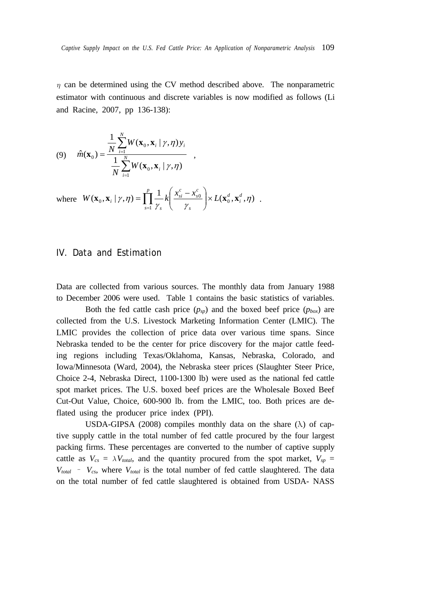$\eta$  can be determined using the CV method described above. The nonparametric estimator with continuous and discrete variables is now modified as follows (Li and Racine, 2007, pp 136-138):

(9) 
$$
\hat{m}(\mathbf{x}_0) = \frac{\frac{1}{N} \sum_{i=1}^{N} W(\mathbf{x}_0, \mathbf{x}_i | \gamma, \eta) y_i}{\frac{1}{N} \sum_{i=1}^{N} W(\mathbf{x}_0, \mathbf{x}_i | \gamma, \eta)},
$$

where  $W(\mathbf{x}_0, \mathbf{x}_i | \gamma, \eta) = \prod_{s=1}^{\infty} \frac{1}{\gamma_s} k \left( \frac{x_{si} - x_{s0}}{\gamma_s} \right) \times$ ⎠  $\setminus$  $\overline{\phantom{a}}$ ⎝  $=\prod^p\frac{1}{k}\left(x_{si}^c\right)$ *s d i d s c s c si s*  $W(\mathbf{x}_0, \mathbf{x}_i \mid \gamma, \eta) = \prod_{i=1}^{p} \frac{1}{N} k \left( \frac{x_{si}^c - x_{s0}^c}{N} \right) \times L$ 1  $\left(\mathbf{x}_{0}, \mathbf{x}_{i} \mid \gamma, \eta\right) = \prod_{s=1}^{p} \frac{1}{\gamma_{s}} k\left(\frac{x_{si}^{c} - x_{s0}^{c}}{\gamma_{s}}\right) \times L(\mathbf{x}_{0}^{d}, \mathbf{x}_{i}^{d}, \eta)$  $\mathbf{x}_0, \mathbf{x}_i \mid \gamma, \eta$ ) =  $\begin{bmatrix} \begin{bmatrix} -k \end{bmatrix} \frac{x_{si} - x_{s0}}{s} \end{bmatrix} \times L(\mathbf{x}_0^d, \mathbf{x}_i^d, \eta)$ .

# IV. Data and Estimation

Data are collected from various sources. The monthly data from January 1988 to December 2006 were used. Table 1 contains the basic statistics of variables.

Both the fed cattle cash price  $(p_{sp})$  and the boxed beef price  $(p_{box})$  are collected from the U.S. Livestock Marketing Information Center (LMIC). The LMIC provides the collection of price data over various time spans. Since Nebraska tended to be the center for price discovery for the major cattle feeding regions including Texas/Oklahoma, Kansas, Nebraska, Colorado, and Iowa/Minnesota (Ward, 2004), the Nebraska steer prices (Slaughter Steer Price, Choice 2-4, Nebraska Direct, 1100-1300 lb) were used as the national fed cattle spot market prices. The U.S. boxed beef prices are the Wholesale Boxed Beef Cut-Out Value, Choice, 600-900 lb. from the LMIC, too. Both prices are deflated using the producer price index (PPI).

USDA-GIPSA (2008) compiles monthly data on the share  $(\lambda)$  of captive supply cattle in the total number of fed cattle procured by the four largest packing firms. These percentages are converted to the number of captive supply cattle as  $V_{cs} = \lambda V_{total}$ , and the quantity procured from the spot market,  $V_{sp} =$  $V_{total}$  –  $V_{cs}$ , where  $V_{total}$  is the total number of fed cattle slaughtered. The data on the total number of fed cattle slaughtered is obtained from USDA- NASS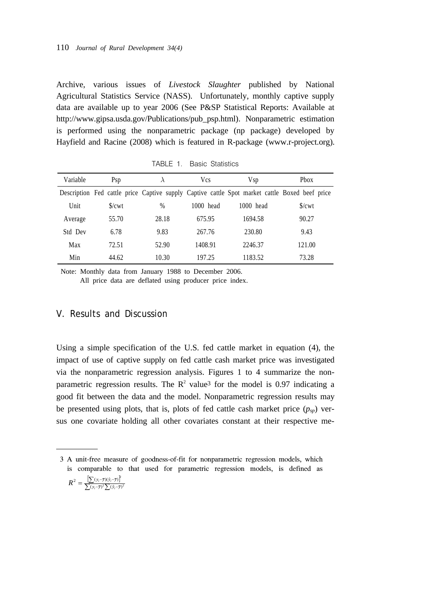Archive, various issues of *Livestock Slaughter* published by National Agricultural Statistics Service (NASS). Unfortunately, monthly captive supply data are available up to year 2006 (See P&SP Statistical Reports: Available at http://www.gipsa.usda.gov/Publications/pub\_psp.html). Nonparametric estimation is performed using the nonparametric package (np package) developed by Hayfield and Racine (2008) which is featured in R-package (www.r-project.org).

| Variable | Psp                 | λ     | <b>Vcs</b>  | <b>V</b> sp                                                                                    | <b>Phox</b>         |
|----------|---------------------|-------|-------------|------------------------------------------------------------------------------------------------|---------------------|
|          |                     |       |             | Description Fed cattle price Captive supply Captive cattle Spot market cattle Boxed beef price |                     |
| Unit     | $\sqrt{\text{cwt}}$ | $\%$  | $1000$ head | $1000$ head                                                                                    | $\sqrt{\text{cwt}}$ |
| Average  | 55.70               | 28.18 | 675.95      | 1694.58                                                                                        | 90.27               |
| Std Dev  | 6.78                | 9.83  | 267.76      | 230.80                                                                                         | 9.43                |
| Max      | 72.51               | 52.90 | 1408.91     | 2246.37                                                                                        | 121.00              |
| Min      | 44.62               | 10.30 | 197.25      | 1183.52                                                                                        | 73.28               |

TABLE 1. Basic Statistics

Note: Monthly data from January 1988 to December 2006.

All price data are deflated using producer price index.

## V. Results and Discussion

Using a simple specification of the U.S. fed cattle market in equation (4), the impact of use of captive supply on fed cattle cash market price was investigated via the nonparametric regression analysis. Figures 1 to 4 summarize the nonparametric regression results. The  $\mathbb{R}^2$  value<sup>3</sup> for the model is 0.97 indicating a good fit between the data and the model. Nonparametric regression results may be presented using plots, that is, plots of fed cattle cash market price  $(p<sub>yn</sub>)$  versus one covariate holding all other covariates constant at their respective me-

3 A unit-free measure of goodness-of-fit for nonparametric regression models, which is comparable to that used for parametric regression models, is defined as

$$
R^2 = \frac{\left[\sum(y_i - \overline{y})(\hat{y}_i - \overline{y})\right]^2}{\sum(y_i - \overline{y})^2 \sum(\hat{y}_i - \overline{y})^2}
$$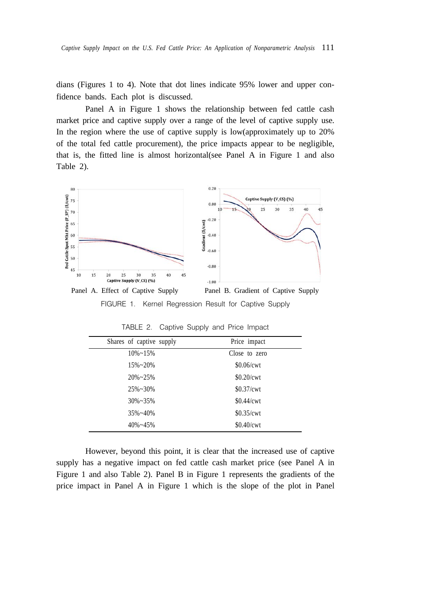dians (Figures 1 to 4). Note that dot lines indicate 95% lower and upper confidence bands. Each plot is discussed.

Panel A in Figure 1 shows the relationship between fed cattle cash market price and captive supply over a range of the level of captive supply use. In the region where the use of captive supply is low(approximately up to 20% of the total fed cattle procurement), the price impacts appear to be negligible, that is, the fitted line is almost horizontal(see Panel A in Figure 1 and also Table 2).



FIGURE 1. Kernel Regression Result for Captive Supply

| Shares of captive supply | Price impact  |
|--------------------------|---------------|
| $10\% \sim 15\%$         | Close to zero |
| $15\% \sim 20\%$         | \$0.06/cwt    |
| $20\% \sim 25\%$         | \$0.20/cwt    |
| $25\% \sim 30\%$         | $$0.37$ /cwt  |
| $30\% \sim 35\%$         | \$0.44/cwt    |
| $35\% - 40\%$            | \$0.35/cwt    |
| $40\% - 45\%$            | \$0.40/cwt    |

TABLE 2. Captive Supply and Price Impact

However, beyond this point, it is clear that the increased use of captive supply has a negative impact on fed cattle cash market price (see Panel A in Figure 1 and also Table 2). Panel B in Figure 1 represents the gradients of the price impact in Panel A in Figure 1 which is the slope of the plot in Panel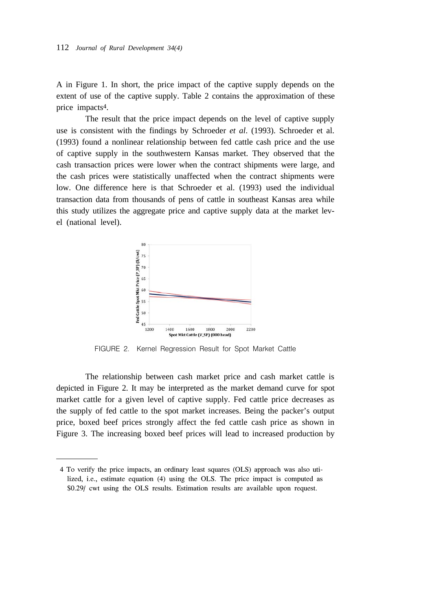A in Figure 1. In short, the price impact of the captive supply depends on the extent of use of the captive supply. Table 2 contains the approximation of these price impacts4.

The result that the price impact depends on the level of captive supply use is consistent with the findings by Schroeder *et al*. (1993). Schroeder et al. (1993) found a nonlinear relationship between fed cattle cash price and the use of captive supply in the southwestern Kansas market. They observed that the cash transaction prices were lower when the contract shipments were large, and the cash prices were statistically unaffected when the contract shipments were low. One difference here is that Schroeder et al. (1993) used the individual transaction data from thousands of pens of cattle in southeast Kansas area while this study utilizes the aggregate price and captive supply data at the market level (national level).



FIGURE 2. Kernel Regression Result for Spot Market Cattle

The relationship between cash market price and cash market cattle is depicted in Figure 2. It may be interpreted as the market demand curve for spot market cattle for a given level of captive supply. Fed cattle price decreases as the supply of fed cattle to the spot market increases. Being the packer's output price, boxed beef prices strongly affect the fed cattle cash price as shown in Figure 3. The increasing boxed beef prices will lead to increased production by

<sup>4</sup> To verify the price impacts, an ordinary least squares (OLS) approach was also utilized, i.e., estimate equation (4) using the OLS. The price impact is computed as \$0.29/ cwt using the OLS results. Estimation results are available upon request.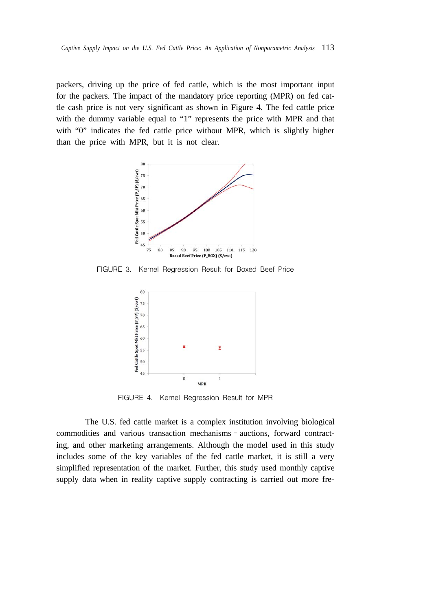packers, driving up the price of fed cattle, which is the most important input for the packers. The impact of the mandatory price reporting (MPR) on fed cattle cash price is not very significant as shown in Figure 4. The fed cattle price with the dummy variable equal to "1" represents the price with MPR and that with "0" indicates the fed cattle price without MPR, which is slightly higher than the price with MPR, but it is not clear.



FIGURE 3. Kernel Regression Result for Boxed Beef Price



FIGURE 4. Kernel Regression Result for MPR

The U.S. fed cattle market is a complex institution involving biological commodities and various transaction mechanisms–auctions, forward contracting, and other marketing arrangements. Although the model used in this study includes some of the key variables of the fed cattle market, it is still a very simplified representation of the market. Further, this study used monthly captive supply data when in reality captive supply contracting is carried out more fre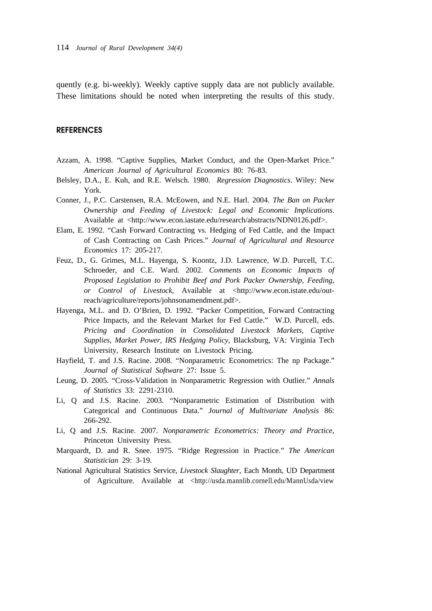quently (e.g. bi-weekly). Weekly captive supply data are not publicly available. These limitations should be noted when interpreting the results of this study.

#### **REFERENCES**

- Azzam, A. 1998. "Captive Supplies, Market Conduct, and the Open-Market Price." *American Journal of Agricultural Economics* 80: 76-83.
- Belsley, D.A., E. Kuh, and R.E. Welsch. 1980. *Regression Diagnostics*. Wiley: New York.
- Conner, J., P.C. Carstensen, R.A. McEowen, and N.E. Harl. 2004. *The Ban on Packer Ownership and Feeding of Livestock: Legal and Economic Implications*. Available at <http://www.econ.iastate.edu/research/abstracts/NDN0126.pdf>.
- Elam, E. 1992. "Cash Forward Contracting vs. Hedging of Fed Cattle, and the Impact of Cash Contracting on Cash Prices." *Journal of Agricultural and Resource Economics* 17: 205-217.
- Feuz, D., G. Grimes, M.L. Hayenga, S. Koontz, J.D. Lawrence, W.D. Purcell, T.C. Schroeder, and C.E. Ward. 2002. *Comments on Economic Impacts of Proposed Legislation to Prohibit Beef and Pork Packer Ownership, Feeding, or Control of Livestock*, Available at <http://www.econ.istate.edu/outreach/agriculture/reports/johnsonamendment.pdf>.
- Hayenga, M.L. and D. O'Brien, D. 1992. "Packer Competition, Forward Contracting Price Impacts, and the Relevant Market for Fed Cattle." W.D. Purcell, eds. *Pricing and Coordination in Consolidated Livestock Markets, Captive Supplies, Market Power, IRS Hedging Policy*, Blacksburg, VA: Virginia Tech University, Research Institute on Livestock Pricing.
- Hayfield, T. and J.S. Racine. 2008. "Nonparametric Econometrics: The np Package." *Journal of Statistical Software* 27: Issue 5.
- Leung, D. 2005. "Cross-Validation in Nonparametric Regression with Outlier." *Annals of Statistics* 33: 2291-2310.
- Li, Q and J.S. Racine. 2003. "Nonparametric Estimation of Distribution with Categorical and Continuous Data." *Journal of Multivariate Analysis* 86: 266-292.
- Li, Q and J.S. Racine. 2007. *Nonparametric Econometrics: Theory and Practice*, Princeton University Press.
- Marquardt, D. and R. Snee. 1975. "Ridge Regression in Practice." *The American Statistician* 29: 3-19.
- National Agricultural Statistics Service, *Livestock Slaughter*, Each Month, UD Department of Agriculture. Available at <http://usda.mannlib.cornell.edu/MannUsda/view